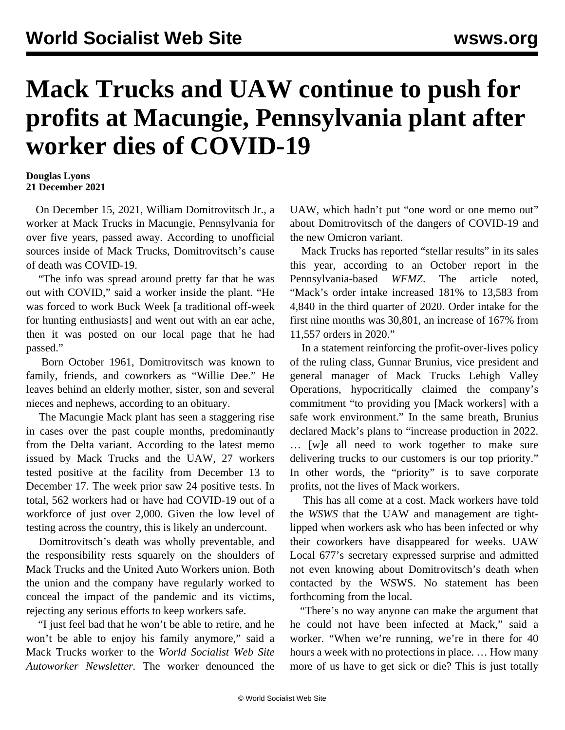## **Mack Trucks and UAW continue to push for profits at Macungie, Pennsylvania plant after worker dies of COVID-19**

## **Douglas Lyons 21 December 2021**

 On December 15, 2021, William Domitrovitsch Jr., a worker at Mack Trucks in Macungie, Pennsylvania for over five years, passed away. According to unofficial sources inside of Mack Trucks, Domitrovitsch's cause of death was COVID-19.

 "The info was spread around pretty far that he was out with COVID," said a worker inside the plant. "He was forced to work Buck Week [a traditional off-week for hunting enthusiasts] and went out with an ear ache, then it was posted on our local page that he had passed."

 Born October 1961, Domitrovitsch was known to family, friends, and coworkers as "Willie Dee." He leaves behind an elderly mother, sister, son and several nieces and nephews, according to an obituary.

 The Macungie Mack plant has seen a [staggering](/en/articles/2021/11/02/mack-n02.html) rise in cases over the past couple months, predominantly from the Delta variant. According to the latest memo issued by Mack Trucks and the UAW, 27 workers tested positive at the facility from December 13 to December 17. The week prior saw 24 positive tests. In total, 562 workers had or have had COVID-19 out of a workforce of just over 2,000. Given the low level of testing across the country, this is likely an undercount.

 Domitrovitsch's death was wholly preventable, and the responsibility rests squarely on the shoulders of Mack Trucks and the United Auto Workers union. Both the union and the company have regularly worked to conceal the impact of the pandemic and its victims, rejecting any serious efforts to keep workers safe.

 "I just feel bad that he won't be able to retire, and he won't be able to enjoy his family anymore," said a Mack Trucks worker to the *World Socialist Web Site Autoworker Newsletter.* The worker denounced the UAW, which hadn't put "one word or one memo out" about Domitrovitsch of the dangers of COVID-19 and the new Omicron variant.

 Mack Trucks has reported "stellar results" in its sales this year, according to an October report in the Pennsylvania-based *WFMZ*. The article noted, "Mack's order intake increased 181% to 13,583 from 4,840 in the third quarter of 2020. Order intake for the first nine months was 30,801, an increase of 167% from 11,557 orders in 2020."

 In a statement reinforcing the [profit-over-lives](/en/articles/2021/12/04/mouj-d04.html) policy of the ruling class, Gunnar Brunius, vice president and general manager of Mack Trucks Lehigh Valley Operations, hypocritically claimed the company's commitment "to providing you [Mack workers] with a safe work environment." In the same breath, Brunius declared Mack's plans to "increase production in 2022. … [w]e all need to work together to make sure delivering trucks to our customers is our top priority." In other words, the "priority" is to save corporate profits, not the lives of Mack workers.

 This has all come at a cost. Mack workers have told the *WSWS* that the UAW and management are tightlipped when workers ask who has been infected or why their coworkers have disappeared for weeks. UAW Local 677's secretary expressed surprise and admitted not even knowing about Domitrovitsch's death when contacted by the WSWS. No statement has been forthcoming from the local.

 "There's no way anyone can make the argument that he could not have been infected at Mack," said a worker. "When we're running, we're in there for 40 hours a week with no protections in place. … How many more of us have to get sick or die? This is just totally